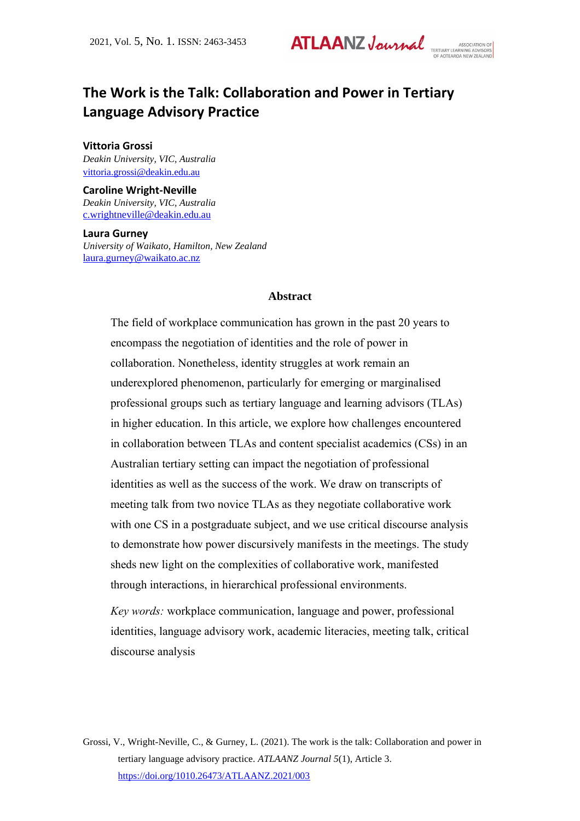**ATLAANZ Journal** 

# **The Work is the Talk: Collaboration and Power in Tertiary Language Advisory Practice**

**Vittoria Grossi** *Deakin University, VIC, Australia*  [vittoria.grossi@deakin.edu.au](mailto:vittoria.grossi@deakin.edu.au)

**Caroline Wright-Neville** *Deakin University, VIC, Australia* [c.wrightneville@deakin.edu.au](mailto:c.wrightneville@deakin.edu.au)

**Laura Gurney** *University of Waikato, Hamilton, New Zealand* [laura.gurney@waikato.ac.nz](mailto:laura.gurney@waikato.ac.nz)

## **Abstract**

The field of workplace communication has grown in the past 20 years to encompass the negotiation of identities and the role of power in collaboration. Nonetheless, identity struggles at work remain an underexplored phenomenon, particularly for emerging or marginalised professional groups such as tertiary language and learning advisors (TLAs) in higher education. In this article, we explore how challenges encountered in collaboration between TLAs and content specialist academics (CSs) in an Australian tertiary setting can impact the negotiation of professional identities as well as the success of the work. We draw on transcripts of meeting talk from two novice TLAs as they negotiate collaborative work with one CS in a postgraduate subject, and we use critical discourse analysis to demonstrate how power discursively manifests in the meetings. The study sheds new light on the complexities of collaborative work, manifested through interactions, in hierarchical professional environments.

*Key words:* workplace communication, language and power, professional identities, language advisory work, academic literacies, meeting talk, critical discourse analysis

Grossi, V., Wright-Neville, C., & Gurney, L. (2021). The work is the talk: Collaboration and power in tertiary language advisory practice. *ATLAANZ Journal 5*(1), Article 3. <https://doi.org/1010.26473/ATLAANZ.2021/003>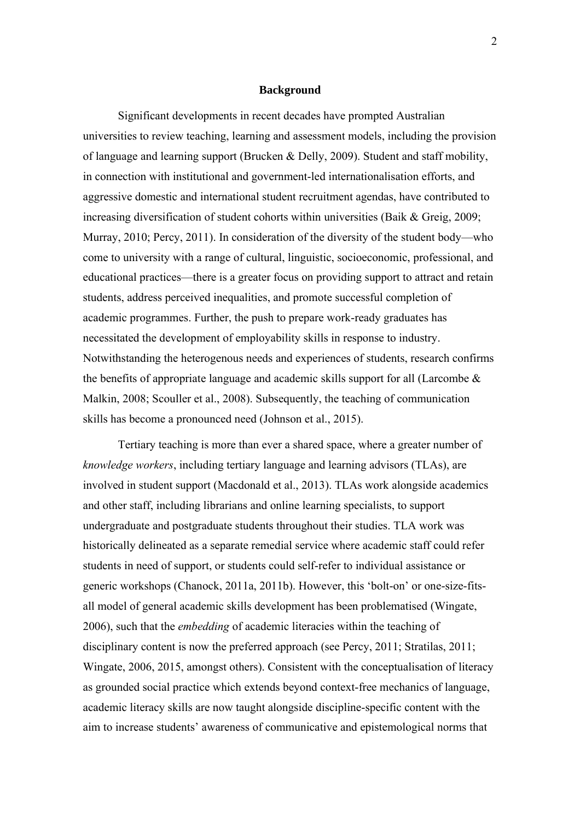## **Background**

Significant developments in recent decades have prompted Australian universities to review teaching, learning and assessment models, including the provision of language and learning support (Brucken & Delly, 2009). Student and staff mobility, in connection with institutional and government-led internationalisation efforts, and aggressive domestic and international student recruitment agendas, have contributed to increasing diversification of student cohorts within universities (Baik & Greig, 2009; Murray, 2010; Percy, 2011). In consideration of the diversity of the student body—who come to university with a range of cultural, linguistic, socioeconomic, professional, and educational practices—there is a greater focus on providing support to attract and retain students, address perceived inequalities, and promote successful completion of academic programmes. Further, the push to prepare work-ready graduates has necessitated the development of employability skills in response to industry. Notwithstanding the heterogenous needs and experiences of students, research confirms the benefits of appropriate language and academic skills support for all (Larcombe & Malkin, 2008; Scouller et al., 2008). Subsequently, the teaching of communication skills has become a pronounced need (Johnson et al., 2015).

Tertiary teaching is more than ever a shared space, where a greater number of *knowledge workers*, including tertiary language and learning advisors (TLAs), are involved in student support (Macdonald et al., 2013). TLAs work alongside academics and other staff, including librarians and online learning specialists, to support undergraduate and postgraduate students throughout their studies. TLA work was historically delineated as a separate remedial service where academic staff could refer students in need of support, or students could self-refer to individual assistance or generic workshops (Chanock, 2011a, 2011b). However, this 'bolt-on' or one-size-fitsall model of general academic skills development has been problematised (Wingate, 2006), such that the *embedding* of academic literacies within the teaching of disciplinary content is now the preferred approach (see Percy, 2011; Stratilas, 2011; Wingate, 2006, 2015, amongst others). Consistent with the conceptualisation of literacy as grounded social practice which extends beyond context-free mechanics of language, academic literacy skills are now taught alongside discipline-specific content with the aim to increase students' awareness of communicative and epistemological norms that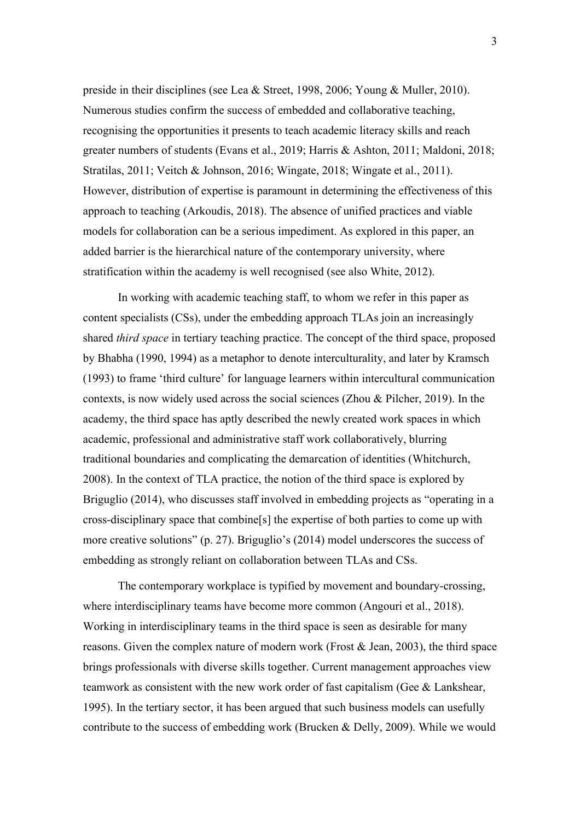preside in their disciplines (see Lea & Street, 1998, 2006; Young & Muller, 2010). Numerous studies confirm the success of embedded and collaborative teaching, recognising the opportunities it presents to teach academic literacy skills and reach greater numbers of students (Evans et al., 2019; Harris & Ashton, 2011; Maldoni, 2018; Stratilas, 2011; Veitch & Johnson, 2016; Wingate, 2018; Wingate et al., 2011). However, distribution of expertise is paramount in determining the effectiveness of this approach to teaching (Arkoudis, 2018). The absence of unified practices and viable models for collaboration can be a serious impediment. As explored in this paper, an added barrier is the hierarchical nature of the contemporary university, where stratification within the academy is well recognised (see also White, 2012).

In working with academic teaching staff, to whom we refer in this paper as content specialists (CSs), under the embedding approach TLAs join an increasingly shared *third space* in tertiary teaching practice. The concept of the third space, proposed by Bhabha (1990, 1994) as a metaphor to denote interculturality, and later by Kramsch (1993) to frame 'third culture' for language learners within intercultural communication contexts, is now widely used across the social sciences (Zhou & Pilcher, 2019). In the academy, the third space has aptly described the newly created work spaces in which academic, professional and administrative staff work collaboratively, blurring traditional boundaries and complicating the demarcation of identities (Whitchurch, 2008). In the context of TLA practice, the notion of the third space is explored by Briguglio (2014), who discusses staff involved in embedding projects as "operating in a cross-disciplinary space that combine[s] the expertise of both parties to come up with more creative solutions" (p. 27). Briguglio's (2014) model underscores the success of embedding as strongly reliant on collaboration between TLAs and CSs.

The contemporary workplace is typified by movement and boundary-crossing, where interdisciplinary teams have become more common (Angouri et al., 2018). Working in interdisciplinary teams in the third space is seen as desirable for many reasons. Given the complex nature of modern work (Frost & Jean, 2003), the third space brings professionals with diverse skills together. Current management approaches view teamwork as consistent with the new work order of fast capitalism (Gee & Lankshear, 1995). In the tertiary sector, it has been argued that such business models can usefully contribute to the success of embedding work (Brucken & Delly, 2009). While we would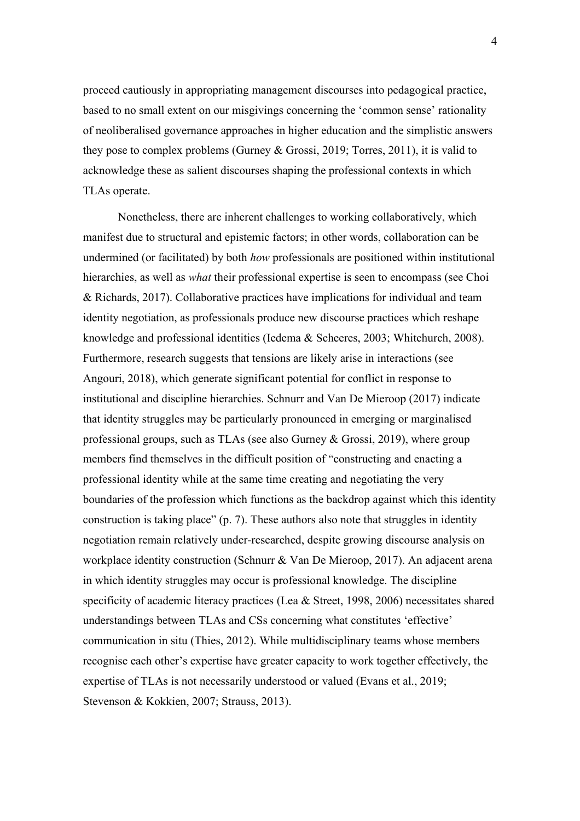proceed cautiously in appropriating management discourses into pedagogical practice, based to no small extent on our misgivings concerning the 'common sense' rationality of neoliberalised governance approaches in higher education and the simplistic answers they pose to complex problems (Gurney & Grossi, 2019; Torres, 2011), it is valid to acknowledge these as salient discourses shaping the professional contexts in which TLAs operate.

Nonetheless, there are inherent challenges to working collaboratively, which manifest due to structural and epistemic factors; in other words, collaboration can be undermined (or facilitated) by both *how* professionals are positioned within institutional hierarchies, as well as *what* their professional expertise is seen to encompass (see Choi & Richards, 2017). Collaborative practices have implications for individual and team identity negotiation, as professionals produce new discourse practices which reshape knowledge and professional identities (Iedema & Scheeres, 2003; Whitchurch, 2008). Furthermore, research suggests that tensions are likely arise in interactions (see Angouri, 2018), which generate significant potential for conflict in response to institutional and discipline hierarchies. Schnurr and Van De Mieroop (2017) indicate that identity struggles may be particularly pronounced in emerging or marginalised professional groups, such as TLAs (see also Gurney & Grossi, 2019), where group members find themselves in the difficult position of "constructing and enacting a professional identity while at the same time creating and negotiating the very boundaries of the profession which functions as the backdrop against which this identity construction is taking place" (p. 7). These authors also note that struggles in identity negotiation remain relatively under-researched, despite growing discourse analysis on workplace identity construction (Schnurr & Van De Mieroop, 2017). An adjacent arena in which identity struggles may occur is professional knowledge. The discipline specificity of academic literacy practices (Lea & Street, 1998, 2006) necessitates shared understandings between TLAs and CSs concerning what constitutes 'effective' communication in situ (Thies, 2012). While multidisciplinary teams whose members recognise each other's expertise have greater capacity to work together effectively, the expertise of TLAs is not necessarily understood or valued (Evans et al., 2019; Stevenson & Kokkien, 2007; Strauss, 2013).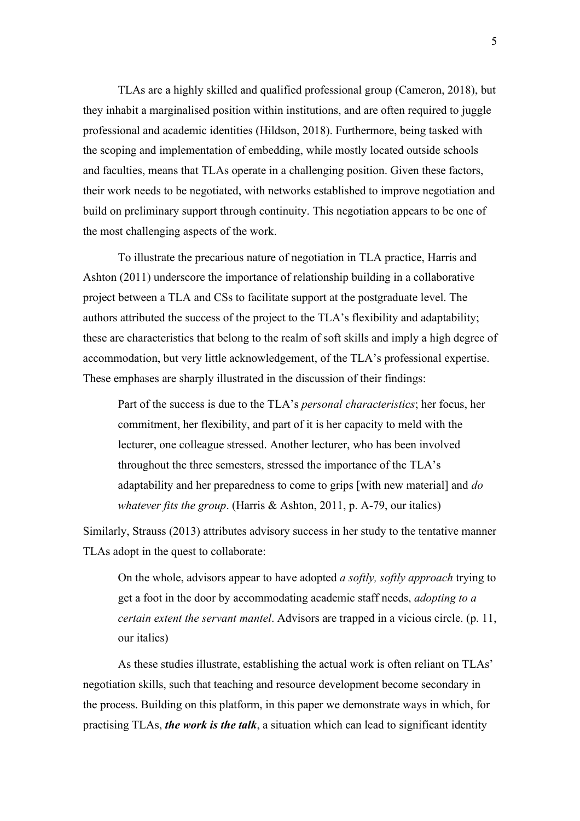TLAs are a highly skilled and qualified professional group (Cameron, 2018), but they inhabit a marginalised position within institutions, and are often required to juggle professional and academic identities (Hildson, 2018). Furthermore, being tasked with the scoping and implementation of embedding, while mostly located outside schools and faculties, means that TLAs operate in a challenging position. Given these factors, their work needs to be negotiated, with networks established to improve negotiation and build on preliminary support through continuity. This negotiation appears to be one of the most challenging aspects of the work.

To illustrate the precarious nature of negotiation in TLA practice, Harris and Ashton (2011) underscore the importance of relationship building in a collaborative project between a TLA and CSs to facilitate support at the postgraduate level. The authors attributed the success of the project to the TLA's flexibility and adaptability; these are characteristics that belong to the realm of soft skills and imply a high degree of accommodation, but very little acknowledgement, of the TLA's professional expertise. These emphases are sharply illustrated in the discussion of their findings:

Part of the success is due to the TLA's *personal characteristics*; her focus, her commitment, her flexibility, and part of it is her capacity to meld with the lecturer, one colleague stressed. Another lecturer, who has been involved throughout the three semesters, stressed the importance of the TLA's adaptability and her preparedness to come to grips [with new material] and *do whatever fits the group*. (Harris & Ashton, 2011, p. A-79, our italics)

Similarly, Strauss (2013) attributes advisory success in her study to the tentative manner TLAs adopt in the quest to collaborate:

On the whole, advisors appear to have adopted *a softly, softly approach* trying to get a foot in the door by accommodating academic staff needs, *adopting to a certain extent the servant mantel*. Advisors are trapped in a vicious circle. (p. 11, our italics)

As these studies illustrate, establishing the actual work is often reliant on TLAs' negotiation skills, such that teaching and resource development become secondary in the process. Building on this platform, in this paper we demonstrate ways in which, for practising TLAs, *the work is the talk*, a situation which can lead to significant identity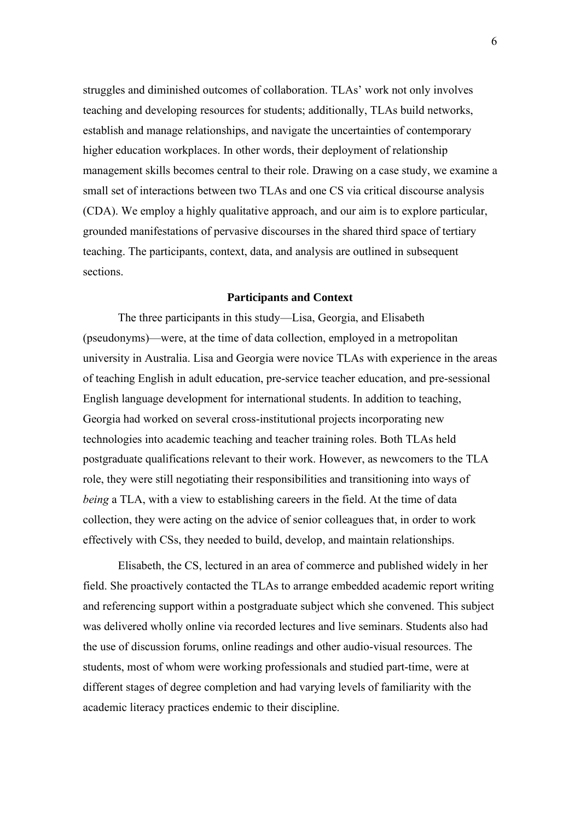struggles and diminished outcomes of collaboration. TLAs' work not only involves teaching and developing resources for students; additionally, TLAs build networks, establish and manage relationships, and navigate the uncertainties of contemporary higher education workplaces. In other words, their deployment of relationship management skills becomes central to their role. Drawing on a case study, we examine a small set of interactions between two TLAs and one CS via critical discourse analysis (CDA). We employ a highly qualitative approach, and our aim is to explore particular, grounded manifestations of pervasive discourses in the shared third space of tertiary teaching. The participants, context, data, and analysis are outlined in subsequent sections.

## **Participants and Context**

The three participants in this study—Lisa, Georgia, and Elisabeth (pseudonyms)—were, at the time of data collection, employed in a metropolitan university in Australia. Lisa and Georgia were novice TLAs with experience in the areas of teaching English in adult education, pre-service teacher education, and pre-sessional English language development for international students. In addition to teaching, Georgia had worked on several cross-institutional projects incorporating new technologies into academic teaching and teacher training roles. Both TLAs held postgraduate qualifications relevant to their work. However, as newcomers to the TLA role, they were still negotiating their responsibilities and transitioning into ways of *being* a TLA, with a view to establishing careers in the field. At the time of data collection, they were acting on the advice of senior colleagues that, in order to work effectively with CSs, they needed to build, develop, and maintain relationships.

Elisabeth, the CS, lectured in an area of commerce and published widely in her field. She proactively contacted the TLAs to arrange embedded academic report writing and referencing support within a postgraduate subject which she convened. This subject was delivered wholly online via recorded lectures and live seminars. Students also had the use of discussion forums, online readings and other audio-visual resources. The students, most of whom were working professionals and studied part-time, were at different stages of degree completion and had varying levels of familiarity with the academic literacy practices endemic to their discipline.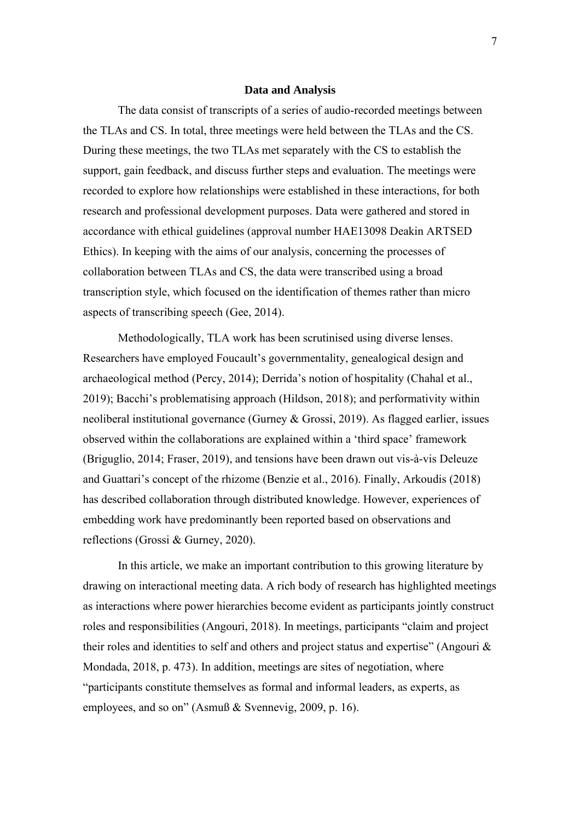## **Data and Analysis**

The data consist of transcripts of a series of audio-recorded meetings between the TLAs and CS. In total, three meetings were held between the TLAs and the CS. During these meetings, the two TLAs met separately with the CS to establish the support, gain feedback, and discuss further steps and evaluation. The meetings were recorded to explore how relationships were established in these interactions, for both research and professional development purposes. Data were gathered and stored in accordance with ethical guidelines (approval number HAE13098 Deakin ARTSED Ethics). In keeping with the aims of our analysis, concerning the processes of collaboration between TLAs and CS, the data were transcribed using a broad transcription style, which focused on the identification of themes rather than micro aspects of transcribing speech (Gee, 2014).

Methodologically, TLA work has been scrutinised using diverse lenses. Researchers have employed Foucault's governmentality, genealogical design and archaeological method (Percy, 2014); Derrida's notion of hospitality (Chahal et al., 2019); Bacchi's problematising approach (Hildson, 2018); and performativity within neoliberal institutional governance (Gurney & Grossi, 2019). As flagged earlier, issues observed within the collaborations are explained within a 'third space' framework (Briguglio, 2014; Fraser, 2019), and tensions have been drawn out vis-à-vis Deleuze and Guattari's concept of the rhizome (Benzie et al., 2016). Finally, Arkoudis (2018) has described collaboration through distributed knowledge. However, experiences of embedding work have predominantly been reported based on observations and reflections (Grossi & Gurney, 2020).

In this article, we make an important contribution to this growing literature by drawing on interactional meeting data. A rich body of research has highlighted meetings as interactions where power hierarchies become evident as participants jointly construct roles and responsibilities (Angouri, 2018). In meetings, participants "claim and project their roles and identities to self and others and project status and expertise" (Angouri & Mondada, 2018, p. 473). In addition, meetings are sites of negotiation, where "participants constitute themselves as formal and informal leaders, as experts, as employees, and so on" (Asmuß & Svennevig, 2009, p. 16).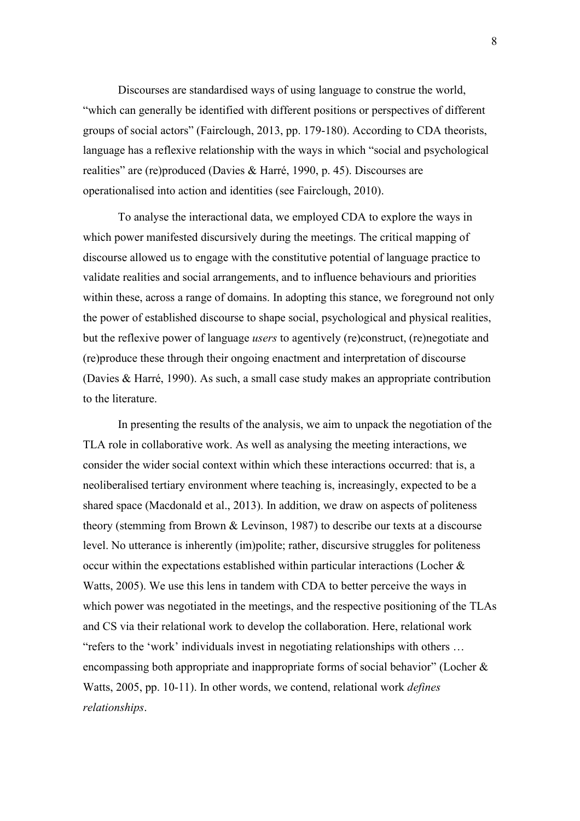Discourses are standardised ways of using language to construe the world, "which can generally be identified with different positions or perspectives of different groups of social actors" (Fairclough, 2013, pp. 179-180). According to CDA theorists, language has a reflexive relationship with the ways in which "social and psychological realities" are (re)produced (Davies & Harré, 1990, p. 45). Discourses are operationalised into action and identities (see Fairclough, 2010).

To analyse the interactional data, we employed CDA to explore the ways in which power manifested discursively during the meetings. The critical mapping of discourse allowed us to engage with the constitutive potential of language practice to validate realities and social arrangements, and to influence behaviours and priorities within these, across a range of domains. In adopting this stance, we foreground not only the power of established discourse to shape social, psychological and physical realities, but the reflexive power of language *users* to agentively (re)construct, (re)negotiate and (re)produce these through their ongoing enactment and interpretation of discourse (Davies & Harré, 1990). As such, a small case study makes an appropriate contribution to the literature.

In presenting the results of the analysis, we aim to unpack the negotiation of the TLA role in collaborative work. As well as analysing the meeting interactions, we consider the wider social context within which these interactions occurred: that is, a neoliberalised tertiary environment where teaching is, increasingly, expected to be a shared space (Macdonald et al., 2013). In addition, we draw on aspects of politeness theory (stemming from Brown & Levinson, 1987) to describe our texts at a discourse level. No utterance is inherently (im)polite; rather, discursive struggles for politeness occur within the expectations established within particular interactions (Locher & Watts, 2005). We use this lens in tandem with CDA to better perceive the ways in which power was negotiated in the meetings, and the respective positioning of the TLAs and CS via their relational work to develop the collaboration. Here, relational work "refers to the 'work' individuals invest in negotiating relationships with others … encompassing both appropriate and inappropriate forms of social behavior" (Locher & Watts, 2005, pp. 10-11). In other words, we contend, relational work *defines relationships*.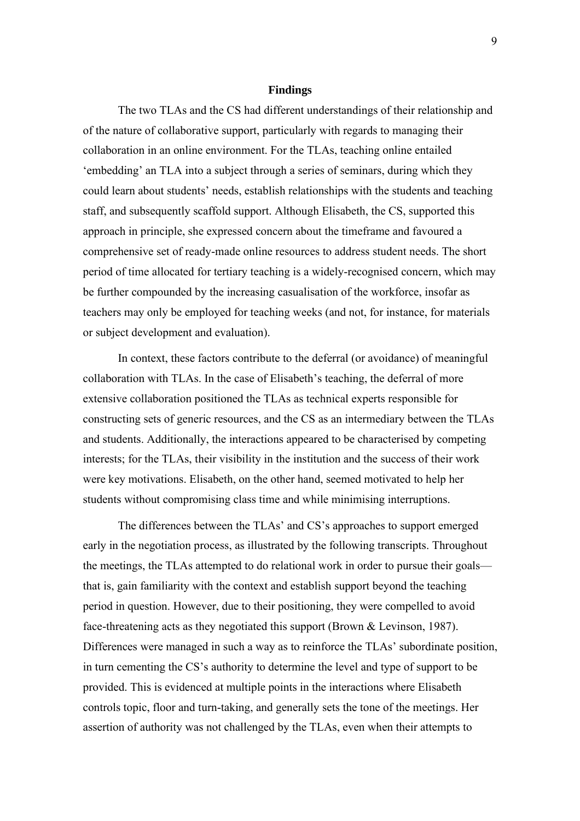#### **Findings**

The two TLAs and the CS had different understandings of their relationship and of the nature of collaborative support, particularly with regards to managing their collaboration in an online environment. For the TLAs, teaching online entailed 'embedding' an TLA into a subject through a series of seminars, during which they could learn about students' needs, establish relationships with the students and teaching staff, and subsequently scaffold support. Although Elisabeth, the CS, supported this approach in principle, she expressed concern about the timeframe and favoured a comprehensive set of ready-made online resources to address student needs. The short period of time allocated for tertiary teaching is a widely-recognised concern, which may be further compounded by the increasing casualisation of the workforce, insofar as teachers may only be employed for teaching weeks (and not, for instance, for materials or subject development and evaluation).

In context, these factors contribute to the deferral (or avoidance) of meaningful collaboration with TLAs. In the case of Elisabeth's teaching, the deferral of more extensive collaboration positioned the TLAs as technical experts responsible for constructing sets of generic resources, and the CS as an intermediary between the TLAs and students. Additionally, the interactions appeared to be characterised by competing interests; for the TLAs, their visibility in the institution and the success of their work were key motivations. Elisabeth, on the other hand, seemed motivated to help her students without compromising class time and while minimising interruptions.

The differences between the TLAs' and CS's approaches to support emerged early in the negotiation process, as illustrated by the following transcripts. Throughout the meetings, the TLAs attempted to do relational work in order to pursue their goals that is, gain familiarity with the context and establish support beyond the teaching period in question. However, due to their positioning, they were compelled to avoid face-threatening acts as they negotiated this support (Brown & Levinson, 1987). Differences were managed in such a way as to reinforce the TLAs' subordinate position, in turn cementing the CS's authority to determine the level and type of support to be provided. This is evidenced at multiple points in the interactions where Elisabeth controls topic, floor and turn-taking, and generally sets the tone of the meetings. Her assertion of authority was not challenged by the TLAs, even when their attempts to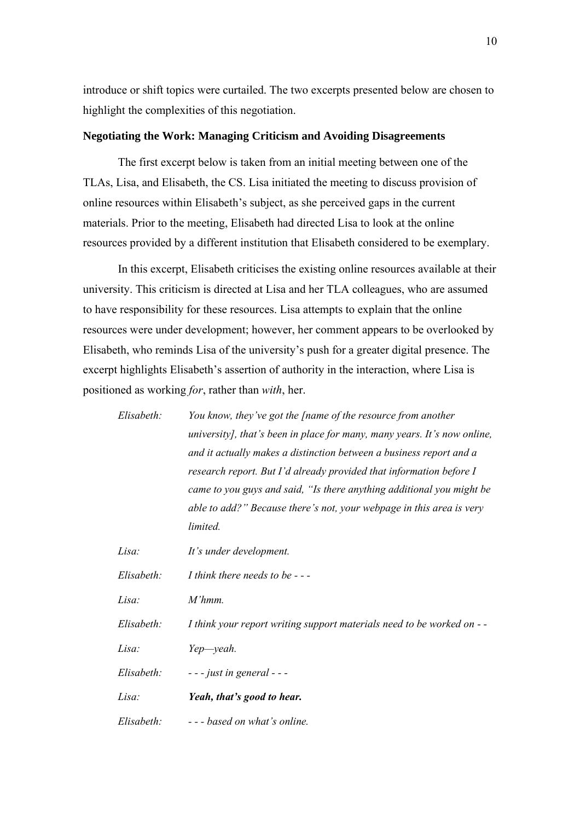introduce or shift topics were curtailed. The two excerpts presented below are chosen to highlight the complexities of this negotiation.

## **Negotiating the Work: Managing Criticism and Avoiding Disagreements**

The first excerpt below is taken from an initial meeting between one of the TLAs, Lisa, and Elisabeth, the CS. Lisa initiated the meeting to discuss provision of online resources within Elisabeth's subject, as she perceived gaps in the current materials. Prior to the meeting, Elisabeth had directed Lisa to look at the online resources provided by a different institution that Elisabeth considered to be exemplary.

In this excerpt, Elisabeth criticises the existing online resources available at their university. This criticism is directed at Lisa and her TLA colleagues, who are assumed to have responsibility for these resources. Lisa attempts to explain that the online resources were under development; however, her comment appears to be overlooked by Elisabeth, who reminds Lisa of the university's push for a greater digital presence. The excerpt highlights Elisabeth's assertion of authority in the interaction, where Lisa is positioned as working *for*, rather than *with*, her.

*Elisabeth: You know, they've got the [name of the resource from another university], that's been in place for many, many years. It's now online, and it actually makes a distinction between a business report and a research report. But I'd already provided that information before I came to you guys and said, "Is there anything additional you might be able to add?" Because there's not, your webpage in this area is very limited. Lisa: It's under development. Elisabeth: I think there needs to be - - - Lisa: M'hmm. Elisabeth: I think your report writing support materials need to be worked on - - Lisa: Yep—yeah. Elisabeth: - - - just in general - - - Lisa: Yeah, that's good to hear. Elisabeth: - - - based on what's online.*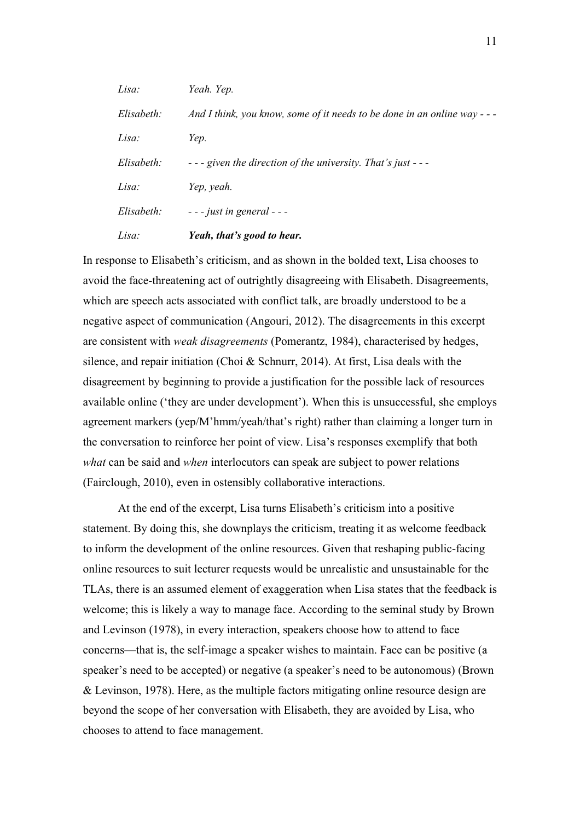| Lisa:      | Yeah, that's good to hear.                                                 |
|------------|----------------------------------------------------------------------------|
| Elisabeth: | $---$ just in general $---$                                                |
| Lisa:      | Yep, yeah.                                                                 |
| Elisabeth: | $\frac{1}{2}$ - - given the direction of the university. That's just - - - |
| Lisa:      | Yep.                                                                       |
| Elisabeth: | And I think, you know, some of it needs to be done in an online way $ -$   |
| Lisa:      | Yeah. Yep.                                                                 |

In response to Elisabeth's criticism, and as shown in the bolded text, Lisa chooses to avoid the face-threatening act of outrightly disagreeing with Elisabeth. Disagreements, which are speech acts associated with conflict talk, are broadly understood to be a negative aspect of communication (Angouri, 2012). The disagreements in this excerpt are consistent with *weak disagreements* (Pomerantz, 1984), characterised by hedges, silence, and repair initiation (Choi & Schnurr, 2014). At first, Lisa deals with the disagreement by beginning to provide a justification for the possible lack of resources available online ('they are under development'). When this is unsuccessful, she employs agreement markers (yep/M'hmm/yeah/that's right) rather than claiming a longer turn in the conversation to reinforce her point of view. Lisa's responses exemplify that both *what* can be said and *when* interlocutors can speak are subject to power relations (Fairclough, 2010), even in ostensibly collaborative interactions.

At the end of the excerpt, Lisa turns Elisabeth's criticism into a positive statement. By doing this, she downplays the criticism, treating it as welcome feedback to inform the development of the online resources. Given that reshaping public-facing online resources to suit lecturer requests would be unrealistic and unsustainable for the TLAs, there is an assumed element of exaggeration when Lisa states that the feedback is welcome; this is likely a way to manage face. According to the seminal study by Brown and Levinson (1978), in every interaction, speakers choose how to attend to face concerns—that is, the self-image a speaker wishes to maintain. Face can be positive (a speaker's need to be accepted) or negative (a speaker's need to be autonomous) (Brown & Levinson, 1978). Here, as the multiple factors mitigating online resource design are beyond the scope of her conversation with Elisabeth, they are avoided by Lisa, who chooses to attend to face management.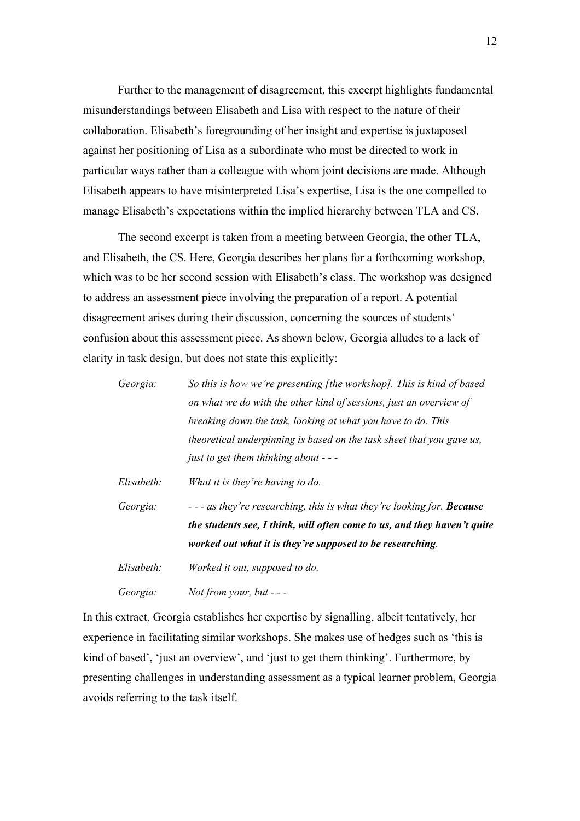Further to the management of disagreement, this excerpt highlights fundamental misunderstandings between Elisabeth and Lisa with respect to the nature of their collaboration. Elisabeth's foregrounding of her insight and expertise is juxtaposed against her positioning of Lisa as a subordinate who must be directed to work in particular ways rather than a colleague with whom joint decisions are made. Although Elisabeth appears to have misinterpreted Lisa's expertise, Lisa is the one compelled to manage Elisabeth's expectations within the implied hierarchy between TLA and CS.

The second excerpt is taken from a meeting between Georgia, the other TLA, and Elisabeth, the CS. Here, Georgia describes her plans for a forthcoming workshop, which was to be her second session with Elisabeth's class. The workshop was designed to address an assessment piece involving the preparation of a report. A potential disagreement arises during their discussion, concerning the sources of students' confusion about this assessment piece. As shown below, Georgia alludes to a lack of clarity in task design, but does not state this explicitly:

| Georgia:      | So this is how we're presenting [the workshop]. This is kind of based        |
|---------------|------------------------------------------------------------------------------|
|               | on what we do with the other kind of sessions, just an overview of           |
|               | breaking down the task, looking at what you have to do. This                 |
|               | theoretical underpinning is based on the task sheet that you gave us,        |
|               | just to get them thinking about - - -                                        |
| $E$ lisabeth: | What it is they're having to do.                                             |
| Georgia:      | --- as they're researching, this is what they're looking for. <b>Because</b> |
|               | the students see, I think, will often come to us, and they haven't quite     |
|               | worked out what it is they're supposed to be researching.                    |
| Elisabeth:    | Worked it out, supposed to do.                                               |
| Georgia:      | Not from your, but $--$                                                      |

In this extract, Georgia establishes her expertise by signalling, albeit tentatively, her experience in facilitating similar workshops. She makes use of hedges such as 'this is kind of based', 'just an overview', and 'just to get them thinking'. Furthermore, by presenting challenges in understanding assessment as a typical learner problem, Georgia avoids referring to the task itself.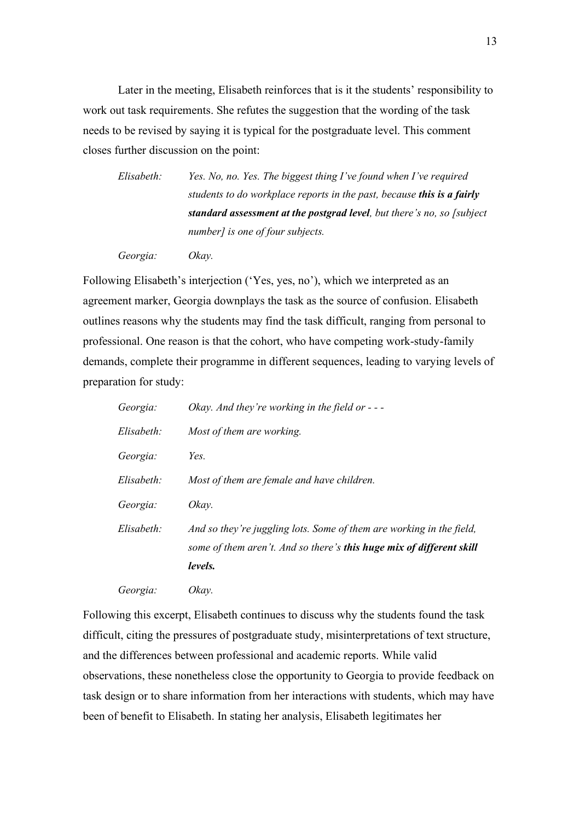Later in the meeting, Elisabeth reinforces that is it the students' responsibility to work out task requirements. She refutes the suggestion that the wording of the task needs to be revised by saying it is typical for the postgraduate level. This comment closes further discussion on the point:

*Elisabeth: Yes. No, no. Yes. The biggest thing I've found when I've required students to do workplace reports in the past, because this is a fairly standard assessment at the postgrad level, but there's no, so [subject number] is one of four subjects.* 

*Georgia: Okay.*

*Georgia: Okay.*

Following Elisabeth's interjection ('Yes, yes, no'), which we interpreted as an agreement marker, Georgia downplays the task as the source of confusion. Elisabeth outlines reasons why the students may find the task difficult, ranging from personal to professional. One reason is that the cohort, who have competing work-study-family demands, complete their programme in different sequences, leading to varying levels of preparation for study:

| Georgia:   | Okay. And they're working in the field or $ -$                                                                                                                 |
|------------|----------------------------------------------------------------------------------------------------------------------------------------------------------------|
| Elisabeth: | Most of them are working.                                                                                                                                      |
| Georgia:   | Yes.                                                                                                                                                           |
| Elisabeth: | Most of them are female and have children.                                                                                                                     |
| Georgia:   | Okay.                                                                                                                                                          |
| Elisabeth: | And so they're juggling lots. Some of them are working in the field,<br>some of them aren't. And so there's <b>this huge mix of different skill</b><br>levels. |
|            |                                                                                                                                                                |

Following this excerpt, Elisabeth continues to discuss why the students found the task difficult, citing the pressures of postgraduate study, misinterpretations of text structure, and the differences between professional and academic reports. While valid observations, these nonetheless close the opportunity to Georgia to provide feedback on task design or to share information from her interactions with students, which may have been of benefit to Elisabeth. In stating her analysis, Elisabeth legitimates her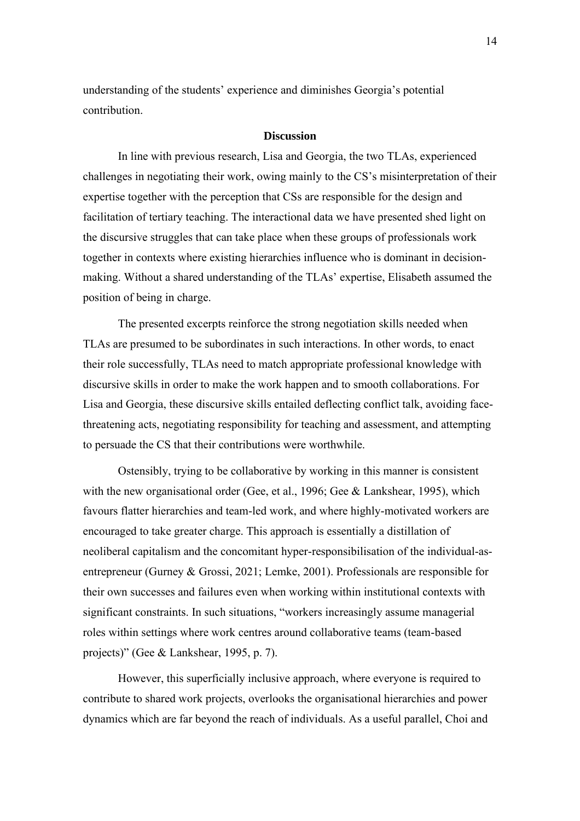understanding of the students' experience and diminishes Georgia's potential contribution.

#### **Discussion**

In line with previous research, Lisa and Georgia, the two TLAs, experienced challenges in negotiating their work, owing mainly to the CS's misinterpretation of their expertise together with the perception that CSs are responsible for the design and facilitation of tertiary teaching. The interactional data we have presented shed light on the discursive struggles that can take place when these groups of professionals work together in contexts where existing hierarchies influence who is dominant in decisionmaking. Without a shared understanding of the TLAs' expertise, Elisabeth assumed the position of being in charge.

The presented excerpts reinforce the strong negotiation skills needed when TLAs are presumed to be subordinates in such interactions. In other words, to enact their role successfully, TLAs need to match appropriate professional knowledge with discursive skills in order to make the work happen and to smooth collaborations. For Lisa and Georgia, these discursive skills entailed deflecting conflict talk, avoiding facethreatening acts, negotiating responsibility for teaching and assessment, and attempting to persuade the CS that their contributions were worthwhile.

Ostensibly, trying to be collaborative by working in this manner is consistent with the new organisational order (Gee, et al., 1996; Gee & Lankshear, 1995), which favours flatter hierarchies and team-led work, and where highly-motivated workers are encouraged to take greater charge. This approach is essentially a distillation of neoliberal capitalism and the concomitant hyper-responsibilisation of the individual-asentrepreneur (Gurney & Grossi, 2021; Lemke, 2001). Professionals are responsible for their own successes and failures even when working within institutional contexts with significant constraints. In such situations, "workers increasingly assume managerial roles within settings where work centres around collaborative teams (team-based projects)" (Gee & Lankshear, 1995, p. 7).

However, this superficially inclusive approach, where everyone is required to contribute to shared work projects, overlooks the organisational hierarchies and power dynamics which are far beyond the reach of individuals. As a useful parallel, Choi and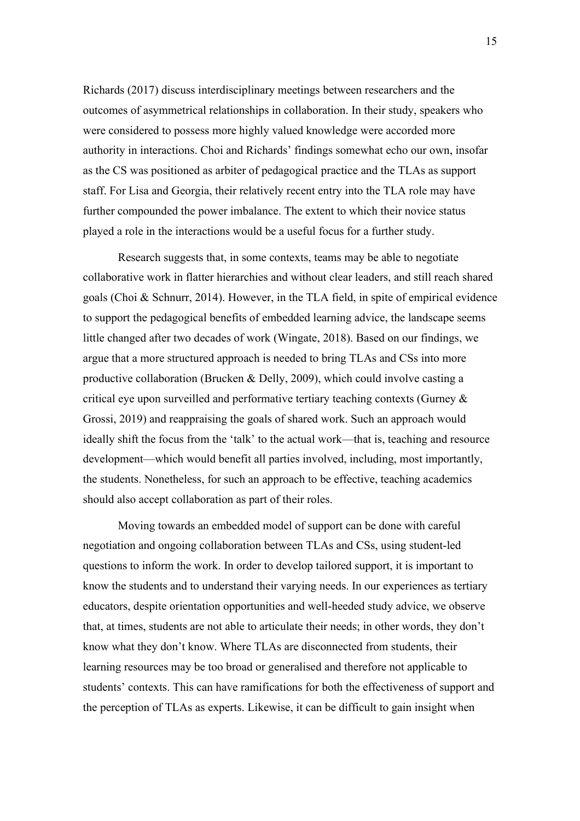Richards (2017) discuss interdisciplinary meetings between researchers and the outcomes of asymmetrical relationships in collaboration. In their study, speakers who were considered to possess more highly valued knowledge were accorded more authority in interactions. Choi and Richards' findings somewhat echo our own, insofar as the CS was positioned as arbiter of pedagogical practice and the TLAs as support staff. For Lisa and Georgia, their relatively recent entry into the TLA role may have further compounded the power imbalance. The extent to which their novice status played a role in the interactions would be a useful focus for a further study.

Research suggests that, in some contexts, teams may be able to negotiate collaborative work in flatter hierarchies and without clear leaders, and still reach shared goals (Choi & Schnurr, 2014). However, in the TLA field, in spite of empirical evidence to support the pedagogical benefits of embedded learning advice, the landscape seems little changed after two decades of work (Wingate, 2018). Based on our findings, we argue that a more structured approach is needed to bring TLAs and CSs into more productive collaboration (Brucken & Delly, 2009), which could involve casting a critical eye upon surveilled and performative tertiary teaching contexts (Gurney & Grossi, 2019) and reappraising the goals of shared work. Such an approach would ideally shift the focus from the 'talk' to the actual work—that is, teaching and resource development—which would benefit all parties involved, including, most importantly, the students. Nonetheless, for such an approach to be effective, teaching academics should also accept collaboration as part of their roles.

Moving towards an embedded model of support can be done with careful negotiation and ongoing collaboration between TLAs and CSs, using student-led questions to inform the work. In order to develop tailored support, it is important to know the students and to understand their varying needs. In our experiences as tertiary educators, despite orientation opportunities and well-heeded study advice, we observe that, at times, students are not able to articulate their needs; in other words, they don't know what they don't know. Where TLAs are disconnected from students, their learning resources may be too broad or generalised and therefore not applicable to students' contexts. This can have ramifications for both the effectiveness of support and the perception of TLAs as experts. Likewise, it can be difficult to gain insight when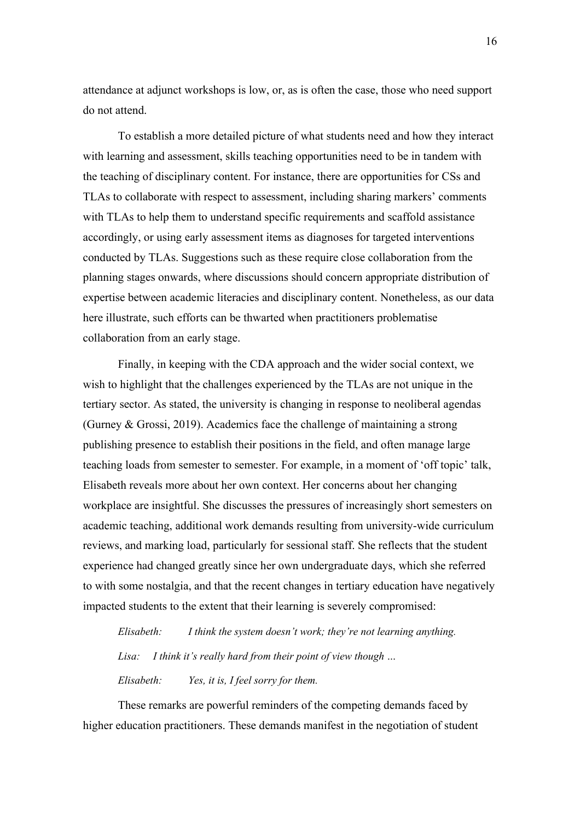attendance at adjunct workshops is low, or, as is often the case, those who need support do not attend.

To establish a more detailed picture of what students need and how they interact with learning and assessment, skills teaching opportunities need to be in tandem with the teaching of disciplinary content. For instance, there are opportunities for CSs and TLAs to collaborate with respect to assessment, including sharing markers' comments with TLAs to help them to understand specific requirements and scaffold assistance accordingly, or using early assessment items as diagnoses for targeted interventions conducted by TLAs. Suggestions such as these require close collaboration from the planning stages onwards, where discussions should concern appropriate distribution of expertise between academic literacies and disciplinary content. Nonetheless, as our data here illustrate, such efforts can be thwarted when practitioners problematise collaboration from an early stage.

Finally, in keeping with the CDA approach and the wider social context, we wish to highlight that the challenges experienced by the TLAs are not unique in the tertiary sector. As stated, the university is changing in response to neoliberal agendas (Gurney & Grossi, 2019). Academics face the challenge of maintaining a strong publishing presence to establish their positions in the field, and often manage large teaching loads from semester to semester. For example, in a moment of 'off topic' talk, Elisabeth reveals more about her own context. Her concerns about her changing workplace are insightful. She discusses the pressures of increasingly short semesters on academic teaching, additional work demands resulting from university-wide curriculum reviews, and marking load, particularly for sessional staff. She reflects that the student experience had changed greatly since her own undergraduate days, which she referred to with some nostalgia, and that the recent changes in tertiary education have negatively impacted students to the extent that their learning is severely compromised:

*Elisabeth: I think the system doesn't work; they're not learning anything. Lisa: I think it's really hard from their point of view though … Elisabeth: Yes, it is, I feel sorry for them.* 

These remarks are powerful reminders of the competing demands faced by higher education practitioners. These demands manifest in the negotiation of student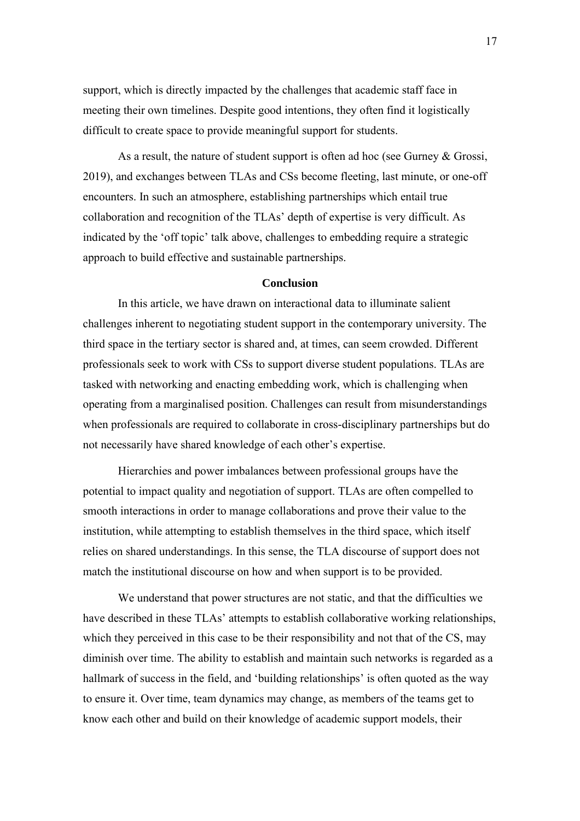support, which is directly impacted by the challenges that academic staff face in meeting their own timelines. Despite good intentions, they often find it logistically difficult to create space to provide meaningful support for students.

As a result, the nature of student support is often ad hoc (see Gurney & Grossi, 2019), and exchanges between TLAs and CSs become fleeting, last minute, or one-off encounters. In such an atmosphere, establishing partnerships which entail true collaboration and recognition of the TLAs' depth of expertise is very difficult. As indicated by the 'off topic' talk above, challenges to embedding require a strategic approach to build effective and sustainable partnerships.

## **Conclusion**

In this article, we have drawn on interactional data to illuminate salient challenges inherent to negotiating student support in the contemporary university. The third space in the tertiary sector is shared and, at times, can seem crowded. Different professionals seek to work with CSs to support diverse student populations. TLAs are tasked with networking and enacting embedding work, which is challenging when operating from a marginalised position. Challenges can result from misunderstandings when professionals are required to collaborate in cross-disciplinary partnerships but do not necessarily have shared knowledge of each other's expertise.

Hierarchies and power imbalances between professional groups have the potential to impact quality and negotiation of support. TLAs are often compelled to smooth interactions in order to manage collaborations and prove their value to the institution, while attempting to establish themselves in the third space, which itself relies on shared understandings. In this sense, the TLA discourse of support does not match the institutional discourse on how and when support is to be provided.

We understand that power structures are not static, and that the difficulties we have described in these TLAs' attempts to establish collaborative working relationships, which they perceived in this case to be their responsibility and not that of the CS, may diminish over time. The ability to establish and maintain such networks is regarded as a hallmark of success in the field, and 'building relationships' is often quoted as the way to ensure it. Over time, team dynamics may change, as members of the teams get to know each other and build on their knowledge of academic support models, their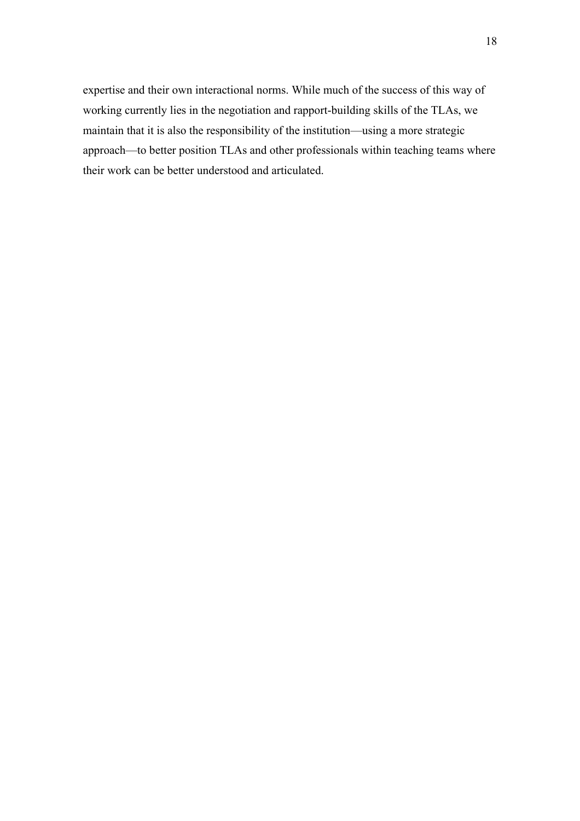expertise and their own interactional norms. While much of the success of this way of working currently lies in the negotiation and rapport-building skills of the TLAs, we maintain that it is also the responsibility of the institution—using a more strategic approach—to better position TLAs and other professionals within teaching teams where their work can be better understood and articulated.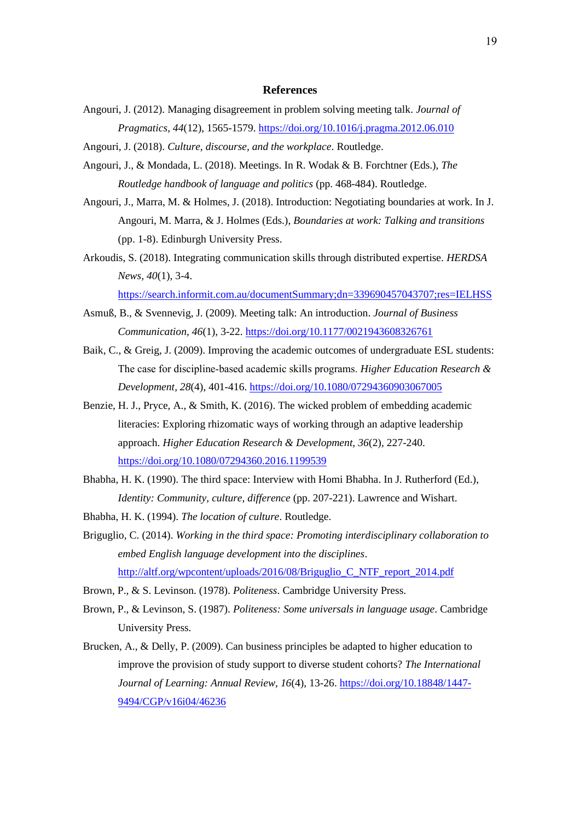#### **References**

- Angouri, J. (2012). Managing disagreement in problem solving meeting talk. *Journal of Pragmatics*, *44*(12), 1565-1579.<https://doi.org/10.1016/j.pragma.2012.06.010>
- Angouri, J. (2018). *Culture, discourse, and the workplace*. Routledge.
- Angouri, J., & Mondada, L. (2018). Meetings. In R. Wodak & B. Forchtner (Eds.), *The Routledge handbook of language and politics* (pp. 468-484). Routledge.
- Angouri, J., Marra, M. & Holmes, J. (2018). Introduction: Negotiating boundaries at work. In J. Angouri, M. Marra, & J. Holmes (Eds.), *Boundaries at work: Talking and transitions* (pp. 1-8). Edinburgh University Press.
- Arkoudis, S. (2018). Integrating communication skills through distributed expertise. *HERDSA News, 40*(1), 3-4.

<https://search.informit.com.au/documentSummary;dn=339690457043707;res=IELHSS>

- Asmuß, B., & Svennevig, J. (2009). Meeting talk: An introduction. *Journal of Business Communication, 46*(1), 3-22.<https://doi.org/10.1177/0021943608326761>
- Baik, C., & Greig, J. (2009). Improving the academic outcomes of undergraduate ESL students: The case for discipline‐based academic skills programs. *Higher Education Research & Development, 28*(4), 401-416.<https://doi.org/10.1080/07294360903067005>
- Benzie, H. J., Pryce, A., & Smith, K. (2016). The wicked problem of embedding academic literacies: Exploring rhizomatic ways of working through an adaptive leadership approach. *Higher Education Research & Development, 36*(2), 227-240. <https://doi.org/10.1080/07294360.2016.1199539>
- Bhabha, H. K. (1990). The third space: Interview with Homi Bhabha. In J. Rutherford (Ed.), *Identity: Community, culture, difference* (pp. 207-221). Lawrence and Wishart.
- Bhabha, H. K. (1994). *The location of culture*. Routledge.
- Briguglio, C. (2014). *Working in the third space: Promoting interdisciplinary collaboration to embed English language development into the disciplines*. [http://altf.org/wpcontent/uploads/2016/08/Briguglio\\_C\\_NTF\\_report\\_2014.pdf](http://altf.org/wpcontent/uploads/2016/08/Briguglio_C_NTF_report_2014.pdf)
- Brown, P., & S. Levinson. (1978). *Politeness*. Cambridge University Press.
- Brown, P., & Levinson, S. (1987). *Politeness: Some universals in language usage*. Cambridge University Press.
- Brucken, A., & Delly, P. (2009). Can business principles be adapted to higher education to improve the provision of study support to diverse student cohorts? *The International Journal of Learning: Annual Review, 16*(4), 13-26. [https://doi.org/10.18848/1447-](https://doi.org/10.18848/1447-9494/CGP/v16i04/46236) [9494/CGP/v16i04/46236](https://doi.org/10.18848/1447-9494/CGP/v16i04/46236)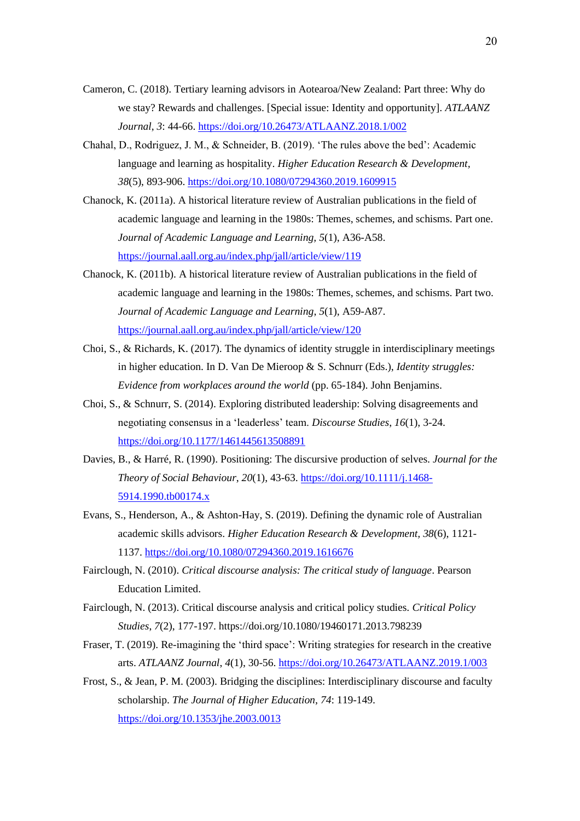- Cameron, C. (2018). Tertiary learning advisors in Aotearoa/New Zealand: Part three: Why do we stay? Rewards and challenges. [Special issue: Identity and opportunity]. *ATLAANZ Journal*, *3*: 44-66.<https://doi.org/10.26473/ATLAANZ.2018.1/002>
- Chahal, D., Rodriguez, J. M., & Schneider, B. (2019). 'The rules above the bed': Academic language and learning as hospitality. *Higher Education Research & Development, 38*(5), 893-906.<https://doi.org/10.1080/07294360.2019.1609915>
- Chanock, K. (2011a). A historical literature review of Australian publications in the field of academic language and learning in the 1980s: Themes, schemes, and schisms. Part one. *Journal of Academic Language and Learning, 5*(1), A36-A58. <https://journal.aall.org.au/index.php/jall/article/view/119>
- Chanock, K. (2011b). A historical literature review of Australian publications in the field of academic language and learning in the 1980s: Themes, schemes, and schisms. Part two. *Journal of Academic Language and Learning*, *5*(1), A59-A87. <https://journal.aall.org.au/index.php/jall/article/view/120>
- Choi, S., & Richards, K. (2017). The dynamics of identity struggle in interdisciplinary meetings in higher education. In D. Van De Mieroop & S. Schnurr (Eds.), *Identity struggles: Evidence from workplaces around the world* (pp. 65-184). John Benjamins.
- Choi, S., & Schnurr, S. (2014). Exploring distributed leadership: Solving disagreements and negotiating consensus in a 'leaderless' team. *Discourse Studies*, *16*(1), 3-24. <https://doi.org/10.1177/1461445613508891>
- Davies, B., & Harré, R. (1990). Positioning: The discursive production of selves. *Journal for the Theory of Social Behaviour*, *20*(1), 43-63. [https://doi.org/10.1111/j.1468-](https://doi.org/10.1111/j.1468-5914.1990.tb00174.x) [5914.1990.tb00174.x](https://doi.org/10.1111/j.1468-5914.1990.tb00174.x)
- Evans, S., Henderson, A., & Ashton-Hay, S. (2019). Defining the dynamic role of Australian academic skills advisors. *Higher Education Research & Development, 38*(6), 1121- 1137.<https://doi.org/10.1080/07294360.2019.1616676>
- Fairclough, N. (2010). *Critical discourse analysis: The critical study of language*. Pearson Education Limited.
- Fairclough, N. (2013). Critical discourse analysis and critical policy studies. *Critical Policy Studies*, *7*(2), 177-197. https://doi.org/10.1080/19460171.2013.798239
- Fraser, T. (2019). Re-imagining the 'third space': Writing strategies for research in the creative arts. *ATLAANZ Journal*, *4*(1), 30-56[. https://doi.org/10.26473/ATLAANZ.2019.1/003](https://doi.org/10.26473/ATLAANZ.2019.1/003)
- Frost, S., & Jean, P. M. (2003). Bridging the disciplines: Interdisciplinary discourse and faculty scholarship. *The Journal of Higher Education*, *74*: 119-149. <https://doi.org/10.1353/jhe.2003.0013>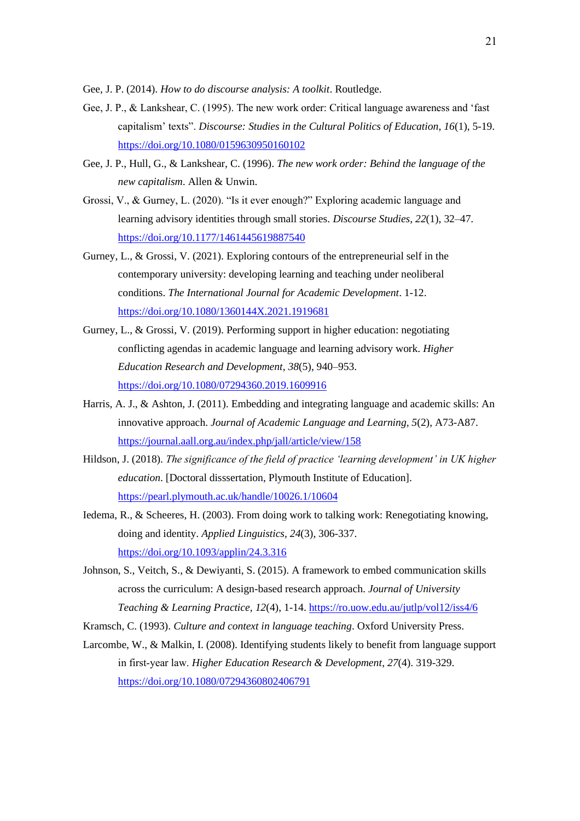- Gee, J. P. (2014). *How to do discourse analysis: A toolkit*. Routledge.
- Gee, J. P., & Lankshear, C. (1995). The new work order: Critical language awareness and 'fast capitalism' texts". *Discourse: Studies in the Cultural Politics of Education, 16*(1), 5-19. <https://doi.org/10.1080/0159630950160102>
- Gee, J. P., Hull, G., & Lankshear, C. (1996). *The new work order: Behind the language of the new capitalism*. Allen & Unwin.
- Grossi, V., & Gurney, L. (2020). "Is it ever enough?" Exploring academic language and learning advisory identities through small stories. *Discourse Studies*, *22*(1), 32–47. <https://doi.org/10.1177/1461445619887540>
- Gurney, L., & Grossi, V. (2021). Exploring contours of the entrepreneurial self in the contemporary university: developing learning and teaching under neoliberal conditions. *The International Journal for Academic Development*. 1-12. <https://doi.org/10.1080/1360144X.2021.1919681>
- Gurney, L., & Grossi, V. (2019). Performing support in higher education: negotiating conflicting agendas in academic language and learning advisory work. *Higher Education Research and Development*, *38*(5), 940–953. <https://doi.org/10.1080/07294360.2019.1609916>
- Harris, A. J., & Ashton, J. (2011). Embedding and integrating language and academic skills: An innovative approach. *Journal of Academic Language and Learning, 5*(2), A73-A87. <https://journal.aall.org.au/index.php/jall/article/view/158>
- Hildson, J. (2018). *The significance of the field of practice 'learning development' in UK higher education*. [Doctoral disssertation, Plymouth Institute of Education]. <https://pearl.plymouth.ac.uk/handle/10026.1/10604>
- Iedema, R., & Scheeres, H. (2003). From doing work to talking work: Renegotiating knowing, doing and identity. *Applied Linguistics, 24*(3), 306-337. <https://doi.org/10.1093/applin/24.3.316>
- Johnson, S., Veitch, S., & Dewiyanti, S. (2015). A framework to embed communication skills across the curriculum: A design-based research approach. *Journal of University Teaching & Learning Practice, 12*(4), 1-14.<https://ro.uow.edu.au/jutlp/vol12/iss4/6>
- Kramsch, C. (1993). *Culture and context in language teaching*. Oxford University Press.
- Larcombe, W., & Malkin, I. (2008). Identifying students likely to benefit from language support in first‐year law. *Higher Education Research & Development*, *27*(4). 319-329. <https://doi.org/10.1080/07294360802406791>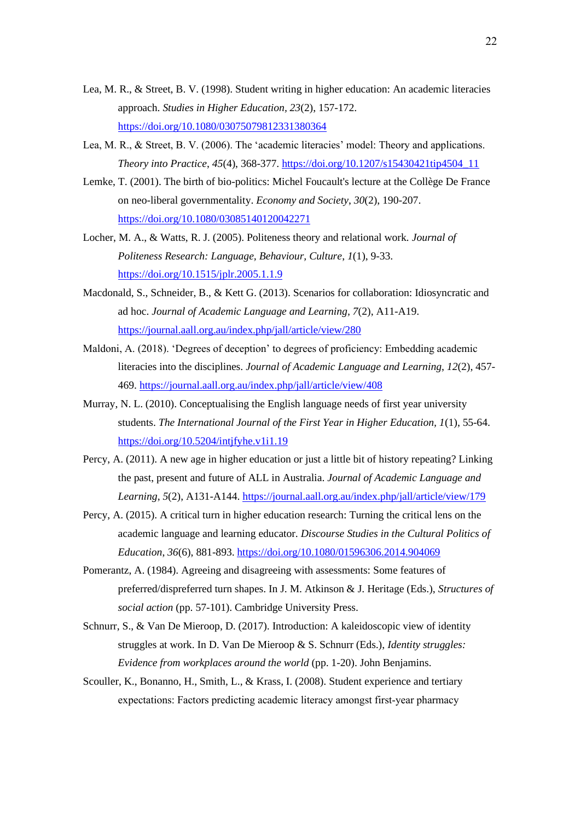- Lea, M. R., & Street, B. V. (1998). Student writing in higher education: An academic literacies approach. *Studies in Higher Education, 23*(2), 157-172. <https://doi.org/10.1080/03075079812331380364>
- Lea, M. R., & Street, B. V. (2006). The 'academic literacies' model: Theory and applications. *Theory into Practice*, *45*(4), 368-377. [https://doi.org/10.1207/s15430421tip4504\\_11](https://doi.org/10.1207/s15430421tip4504_11)
- Lemke, T. (2001). The birth of bio-politics: Michel Foucault's lecture at the Collège De France on neo-liberal governmentality. *Economy and Society*, *30*(2), 190-207. <https://doi.org/10.1080/03085140120042271>
- Locher, M. A., & Watts, R. J. (2005). Politeness theory and relational work. *Journal of Politeness Research: Language, Behaviour, Culture*, *1*(1), 9-33. <https://doi.org/10.1515/jplr.2005.1.1.9>
- Macdonald, S., Schneider, B., & Kett G. (2013). Scenarios for collaboration: Idiosyncratic and ad hoc. *Journal of Academic Language and Learning, 7*(2), A11-A19. <https://journal.aall.org.au/index.php/jall/article/view/280>
- Maldoni, A. (2018). 'Degrees of deception' to degrees of proficiency: Embedding academic literacies into the disciplines. *Journal of Academic Language and Learning*, *12*(2), 457- 469.<https://journal.aall.org.au/index.php/jall/article/view/408>
- Murray, N. L. (2010). Conceptualising the English language needs of first year university students. *The International Journal of the First Year in Higher Education, 1*(1), 55-64. <https://doi.org/10.5204/intjfyhe.v1i1.19>
- Percy, A. (2011). A new age in higher education or just a little bit of history repeating? Linking the past, present and future of ALL in Australia. *Journal of Academic Language and Learning*, *5*(2), A131-A144.<https://journal.aall.org.au/index.php/jall/article/view/179>
- Percy, A. (2015). A critical turn in higher education research: Turning the critical lens on the academic language and learning educator. *Discourse Studies in the Cultural Politics of Education*, *36*(6), 881-893.<https://doi.org/10.1080/01596306.2014.904069>
- Pomerantz, A. (1984). Agreeing and disagreeing with assessments: Some features of preferred/dispreferred turn shapes. In J. M. Atkinson & J. Heritage (Eds.), *Structures of social action* (pp. 57-101). Cambridge University Press.
- Schnurr, S., & Van De Mieroop, D. (2017). Introduction: A kaleidoscopic view of identity struggles at work. In D. Van De Mieroop & S. Schnurr (Eds.), *Identity struggles: Evidence from workplaces around the world* (pp. 1-20). John Benjamins.
- Scouller, K., Bonanno, H., Smith, L., & Krass, I. (2008). Student experience and tertiary expectations: Factors predicting academic literacy amongst first‐year pharmacy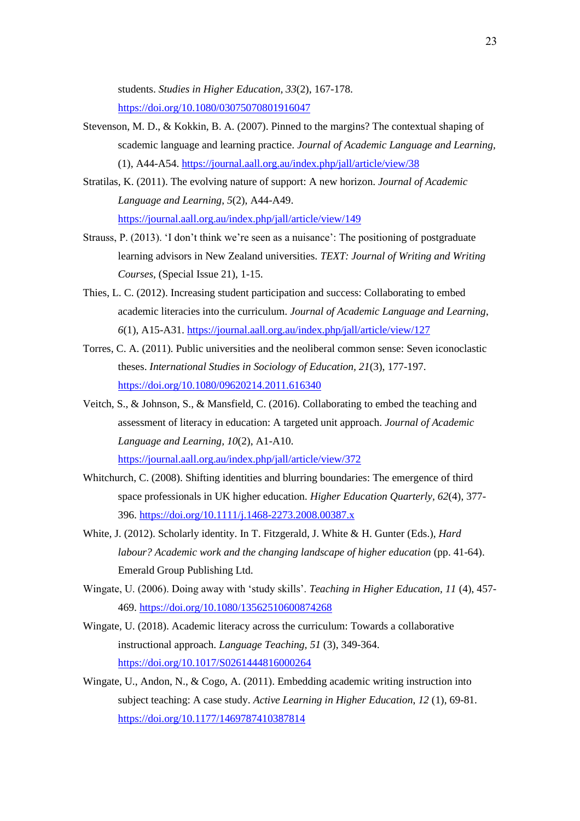students. *Studies in Higher Education, 33*(2), 167-178. <https://doi.org/10.1080/03075070801916047>

- Stevenson, M. D., & Kokkin, B. A. (2007). Pinned to the margins? The contextual shaping of scademic language and learning practice. *Journal of Academic Language and Learning,* (1), A44-A54.<https://journal.aall.org.au/index.php/jall/article/view/38>
- Stratilas, K. (2011). The evolving nature of support: A new horizon. *Journal of Academic Language and Learning*, *5*(2), A44-A49. <https://journal.aall.org.au/index.php/jall/article/view/149>
- Strauss, P. (2013). 'I don't think we're seen as a nuisance': The positioning of postgraduate learning advisors in New Zealand universities. *TEXT: Journal of Writing and Writing Courses*, (Special Issue 21), 1-15.
- Thies, L. C. (2012). Increasing student participation and success: Collaborating to embed academic literacies into the curriculum. *Journal of Academic Language and Learning*, *6*(1), A15-A31.<https://journal.aall.org.au/index.php/jall/article/view/127>
- Torres, C. A. (2011). Public universities and the neoliberal common sense: Seven iconoclastic theses. *International Studies in Sociology of Education, 21*(3), 177-197. <https://doi.org/10.1080/09620214.2011.616340>
- Veitch, S., & Johnson, S., & Mansfield, C. (2016). Collaborating to embed the teaching and assessment of literacy in education: A targeted unit approach. *Journal of Academic Language and Learning, 10*(2), A1-A10. <https://journal.aall.org.au/index.php/jall/article/view/372>
- Whitchurch, C. (2008). Shifting identities and blurring boundaries: The emergence of third space professionals in UK higher education. *Higher Education Quarterly, 62*(4), 377- 396.<https://doi.org/10.1111/j.1468-2273.2008.00387.x>
- White, J. (2012). Scholarly identity. In T. Fitzgerald, J. White & H. Gunter (Eds.), *Hard labour? Academic work and the changing landscape of higher education* (pp. 41-64). Emerald Group Publishing Ltd.
- Wingate, U. (2006). Doing away with 'study skills'. *Teaching in Higher Education, 11* (4), 457- 469.<https://doi.org/10.1080/13562510600874268>
- Wingate, U. (2018). Academic literacy across the curriculum: Towards a collaborative instructional approach. *Language Teaching, 51* (3), 349-364. <https://doi.org/10.1017/S0261444816000264>
- Wingate, U., Andon, N., & Cogo, A. (2011). Embedding academic writing instruction into subject teaching: A case study. *Active Learning in Higher Education*, *12* (1), 69-81. <https://doi.org/10.1177/1469787410387814>